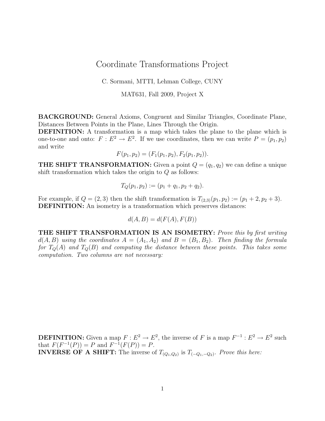## Coordinate Transformations Project

C. Sormani, MTTI, Lehman College, CUNY

MAT631, Fall 2009, Project X

BACKGROUND: General Axioms, Congruent and Similar Triangles, Coordinate Plane, Distances Between Points in the Plane, Lines Through the Origin.

DEFINITION: A transformation is a map which takes the plane to the plane which is one-to-one and onto:  $F: E^2 \to E^2$ . If we use coordinates, then we can write  $P = (p_1, p_2)$ and write

$$
F(p_1, p_2) = (F_1(p_1, p_2), F_2(p_1, p_2)).
$$

**THE SHIFT TRANSFORMATION:** Given a point  $Q = (q_1, q_2)$  we can define a unique shift transformation which takes the origin to  $Q$  as follows:

$$
T_Q(p_1, p_2) := (p_1 + q_1, p_2 + q_2).
$$

For example, if  $Q = (2, 3)$  then the shift transformation is  $T_{(2,3)}(p_1, p_2) := (p_1 + 2, p_2 + 3)$ . DEFINITION: An isometry is a transformation which preserves distances:

$$
d(A, B) = d(F(A), F(B))
$$

THE SHIFT TRANSFORMATION IS AN ISOMETRY: Prove this by first writing  $d(A, B)$  using the coordinates  $A = (A_1, A_2)$  and  $B = (B_1, B_2)$ . Then finding the formula for  $T_Q(A)$  and  $T_Q(B)$  and computing the distance between these points. This takes some computation. Two columns are not necessary:

**DEFINITION:** Given a map  $F: E^2 \to E^2$ , the inverse of F is a map  $F^{-1}: E^2 \to E^2$  such that  $F(F^{-1}(P)) = P$  and  $F^{-1}(F(P)) = P$ . **INVERSE OF A SHIFT:** The inverse of  $T_{(Q_1,Q_2)}$  is  $T_{(-Q_1,-Q_2)}$ . Prove this here: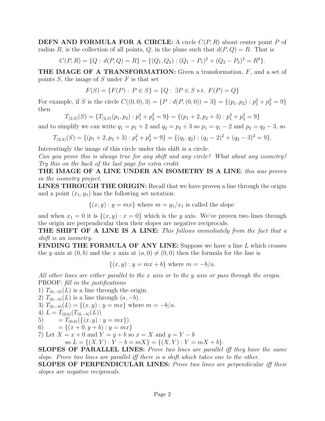**DEFN AND FORMULA FOR A CIRCLE:** A circle  $C(P, R)$  about center point P of radius R, is the collection of all points, Q, in the plane such that  $d(P,Q) = R$ . That is

$$
C(P,R) = \{Q : d(P,Q) = R\} = \{(Q_1, Q_2) : (Q_1 - P_1)^2 + (Q_2 - P_2)^2 = R^2\}.
$$

**THE IMAGE OF A TRANSFORMATION:** Given a transformation,  $F$ , and a set of points  $S$ , the image of  $S$  under  $F$  is that set

$$
F(S) = \{F(P) : P \in S\} = \{Q : \exists P \in S \text{ s.t. } F(P) = Q\}
$$

For example, if S is the circle  $C((0,0),3) = \{P : d(P, (0,0)) = 3\} = \{(p_1, p_2) : p_1^2 + p_2^2 = 9\}$ then

$$
T_{(2,4)}(S) = \{T_{(2,3)}(p_1, p_2) : p_1^2 + p_2^2 = 9\} = \{(p_1 + 2, p_2 + 3) : p_1^2 + p_2^2 = 9\}
$$

and to simplify we can write  $q_1 = p_1 + 2$  and  $q_2 = p_2 + 3$  so  $p_1 = q_1 - 2$  and  $p_2 = q_2 - 3$ , so

$$
T_{(2,4)}(S) = \{(p_1 + 2, p_2 + 3) : p_1^2 + p_2^2 = 9\} = \{(q_1, q_2) : (q_1 - 2)^2 + (q_2 - 3)^2 = 9\}.
$$

Interestingly the image of this circle under this shift is a circle.

Can you prove this is always true for any shift and any circle? What about any isometry? Try this on the back of the last page for extra credit.

THE IMAGE OF A LINE UNDER AN ISOMETRY IS A LINE: this was proven in the isometry project.

LINES THROUGH THE ORIGIN: Recall that we have proven a line through the origin and a point  $(x_1, y_1)$  has the following set notation:

$$
\{(x, y) : y = mx\}
$$
 where  $m = y_1/x_1$  is called the slope

and when  $x_1 = 0$  it is  $\{(x, y) : x = 0\}$  which is the y axis. We've proven two lines through the origin are perpendicular then their slopes are negative reciprocals.

**THE SHIFT OF A LINE IS A LINE:** This follows immediately from the fact that a shift is an isometry.

FINDING THE FORMULA OF ANY LINE: Suppose we have a line  $L$  which crosses the y axis at  $(0, b)$  and the x axis at  $(a, 0) \neq (0, 0)$  then the formula for the line is

 $\{(x, y) : y = mx + b\}$  where  $m = -b/a$ .

All other lines are either parallel to the x axis or to the y axis or pass through the origin. PROOF: fill in the justifications

1)  $T_{(0,-b)}(L)$  is a line through the origin.

2) 
$$
T_{(0,-b)}(L)
$$
 is a line through  $(a, -b)$ .

3) 
$$
T_{(0,-b)}(L) = \{(x,y) : y = mx\}
$$
 where  $m = -b/a$ .

4) 
$$
L = T_{(0,b)}(T_{(0,-b)}(L))
$$

5) 
$$
= T_{(0,b)}(\{(x,y) : y = mx\}).
$$

6)  $= \{(x+0, y+b) : y = mx\}$ 

7) Let  $X = x + 0$  and  $Y = y + b$  so  $x = X$  and  $y = Y - b$ 

so  $L = \{(X, Y) : Y - b = mX\} = \{(X, Y) : Y = mX + b\}.$ 

SLOPES OF PARALLEL LINES: Prove two lines are parallel iff they have the same slope. Prove two lines are parallel iff there is a shift which takes one to the other.

SLOPES OF PERPENDICULAR LINES: Prove two lines are perpendicular iff their slopes are negative reciprocals.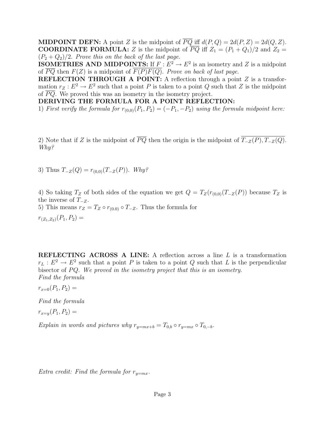**MIDPOINT DEFN:** A point Z is the midpoint of  $\overline{PQ}$  iff  $d(P,Q) = 2d(P,Z) = 2d(Q,Z)$ . **COORDINATE FORMULA:** Z is the midpoint of  $\overline{PQ}$  iff  $Z_1 = (P_1 + Q_1)/2$  and  $Z_2 =$  $(P_2+Q_2)/2$ . Prove this on the back of the last page.

**ISOMETRIES AND MIDPOINTS:** If  $F: E^2 \to E^2$  is an isometry and Z is a midpoint of  $\overline{PQ}$  then  $F(Z)$  is a midpoint of  $\overline{F(P)F(Q)}$ . Prove on back of last page.

REFLECTION THROUGH A POINT: A reflection through a point  $Z$  is a transformation  $r_Z : E^2 \to E^2$  such that a point P is taken to a point Q such that Z is the midpoint of  $\overline{PQ}$ . We proved this was an isometry in the isometry project.

## DERIVING THE FORMULA FOR A POINT REFLECTION:

1) First verify the formula for  $r_{(0,0)}(P_1, P_2) = (-P_1, -P_2)$  using the formula midpoint here:

2) Note that if Z is the midpoint of  $\overline{PQ}$  then the origin is the midpoint of  $\overline{T_{Z}(P), T_{Z}(Q)}$ . Why?

3) Thus  $T_{Z}(Q) = r_{(0,0)}(T_{Z}(P))$ . Why?

4) So taking  $T_Z$  of both sides of the equation we get  $Q = T_Z(r_{(0,0)}(T_{-Z}(P))$  because  $T_Z$  is the inverse of  $T_{-Z}$ . 5) This means  $r_Z = T_Z \circ r_{(0,0)} \circ T_{-Z}$ . Thus the formula for

 $r_{(Z_1,Z_2)}(P_1,P_2) =$ 

REFLECTING ACROSS A LINE: A reflection across a line  $L$  is a transformation  $r_L : E^2 \to E^2$  such that a point P is taken to a point Q such that L is the perpendicular bisector of  $PQ$ . We proved in the isometry project that this is an isometry. Find the formula

 $r_{x=0}(P_1, P_2) =$ 

Find the formula

 $r_{x=u}(P_1, P_2) =$ 

Explain in words and pictures why  $r_{y=mx+b} = T_{0,b} \circ r_{y=mx} \circ T_{0,-b}$ .

Extra credit: Find the formula for  $r_{y=mx}$ .